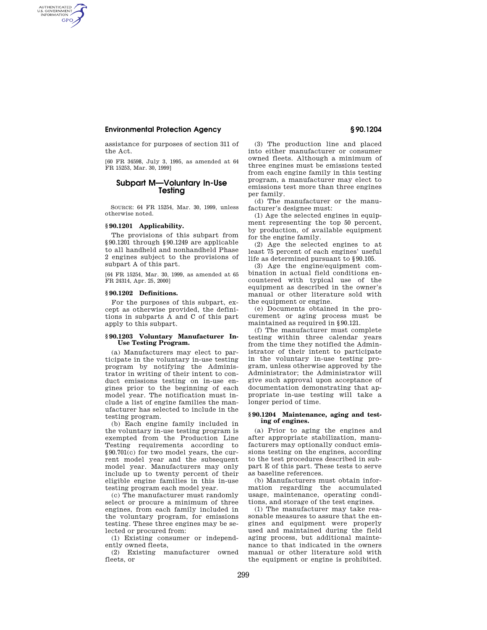# **Environmental Protection Agency § 90.1204**

AUTHENTICATED<br>U.S. GOVERNMENT<br>INFORMATION **GPO** 

> assistance for purposes of section 311 of the Act.

> [60 FR 34598, July 3, 1995, as amended at 64 FR 15253, Mar. 30, 1999]

# **Subpart M—Voluntary In-Use Testing**

SOURCE: 64 FR 15254, Mar. 30, 1999, unless otherwise noted.

## **§ 90.1201 Applicability.**

The provisions of this subpart from §90.1201 through §90.1249 are applicable to all handheld and nonhandheld Phase 2 engines subject to the provisions of subpart A of this part.

[64 FR 15254, Mar. 30, 1999, as amended at 65 FR 24314, Apr. 25, 2000]

# **§ 90.1202 Definitions.**

For the purposes of this subpart, except as otherwise provided, the definitions in subparts A and C of this part apply to this subpart.

## **§ 90.1203 Voluntary Manufacturer In-Use Testing Program.**

(a) Manufacturers may elect to participate in the voluntary in-use testing program by notifying the Administrator in writing of their intent to conduct emissions testing on in-use engines prior to the beginning of each model year. The notification must include a list of engine families the manufacturer has selected to include in the testing program.

(b) Each engine family included in the voluntary in-use testing program is exempted from the Production Line Testing requirements according to §90.701(c) for two model years, the current model year and the subsequent model year. Manufacturers may only include up to twenty percent of their eligible engine families in this in-use testing program each model year.

(c) The manufacturer must randomly select or procure a minimum of three engines, from each family included in the voluntary program, for emissions testing. These three engines may be selected or procured from:

(1) Existing consumer or independently owned fleets,

(2) Existing manufacturer owned fleets, or

(3) The production line and placed into either manufacturer or consumer owned fleets. Although a minimum of three engines must be emissions tested from each engine family in this testing program, a manufacturer may elect to emissions test more than three engines per family.

(d) The manufacturer or the manufacturer's designee must:

(1) Age the selected engines in equipment representing the top 50 percent, by production, of available equipment for the engine family.

(2) Age the selected engines to at least 75 percent of each engines' useful life as determined pursuant to §90.105.

(3) Age the engine/equipment combination in actual field conditions encountered with typical use of the equipment as described in the owner's manual or other literature sold with the equipment or engine.

(e) Documents obtained in the procurement or aging process must be maintained as required in §90.121.

(f) The manufacturer must complete testing within three calendar years from the time they notified the Administrator of their intent to participate in the voluntary in-use testing program, unless otherwise approved by the Administrator; the Administrator will give such approval upon acceptance of documentation demonstrating that appropriate in-use testing will take a longer period of time.

### **§ 90.1204 Maintenance, aging and testing of engines.**

(a) Prior to aging the engines and after appropriate stabilization, manufacturers may optionally conduct emissions testing on the engines, according to the test procedures described in subpart E of this part. These tests to serve as baseline references.

(b) Manufacturers must obtain information regarding the accumulated usage, maintenance, operating conditions, and storage of the test engines.

(1) The manufacturer may take reasonable measures to assure that the engines and equipment were properly used and maintained during the field aging process, but additional maintenance to that indicated in the owners manual or other literature sold with the equipment or engine is prohibited.